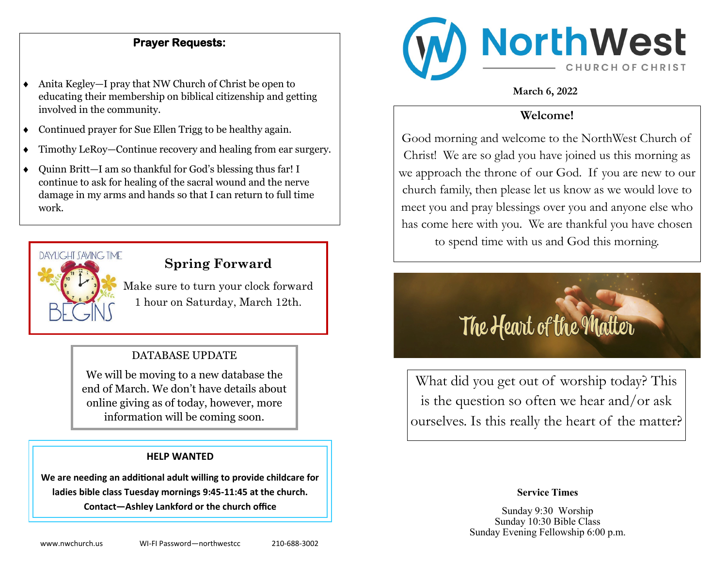### **Prayer Requests:**

- Anita Kegley—I pray that NW Church of Christ be open to educating their membership on biblical citizenship and getting involved in the community.
- Continued prayer for Sue Ellen Trigg to be healthy again.
- Timothy LeRoy—Continue recovery and healing from ear surgery.
- Quinn Britt—I am so thankful for God's blessing thus far! I continue to ask for healing of the sacral wound and the nerve damage in my arms and hands so that I can return to full time work.



# **Spring Forward**

Make sure to turn your clock forward 1 hour on Saturday, March 12th.

### DATABASE UPDATE

We will be moving to a new database the end of March. We don't have details about online giving as of today, however, more information will be coming soon.

#### **HELP WANTED**

**We are needing an additional adult willing to provide childcare for ladies bible class Tuesday mornings 9:45-11:45 at the church. Contact—Ashley Lankford or the church office**



**March 6, 2022**

### **Welcome!**

Good morning and welcome to the NorthWest Church of Christ! We are so glad you have joined us this morning as we approach the throne of our God. If you are new to our church family, then please let us know as we would love to meet you and pray blessings over you and anyone else who has come here with you. We are thankful you have chosen to spend time with us and God this morning.

# The Heart of the Matter

What did you get out of worship today? This is the question so often we hear and/or ask ourselves. Is this really the heart of the matter?

### **Service Times**

Sunday 9:30 Worship Sunday 10:30 Bible Class Sunday Evening Fellowship 6:00 p.m.